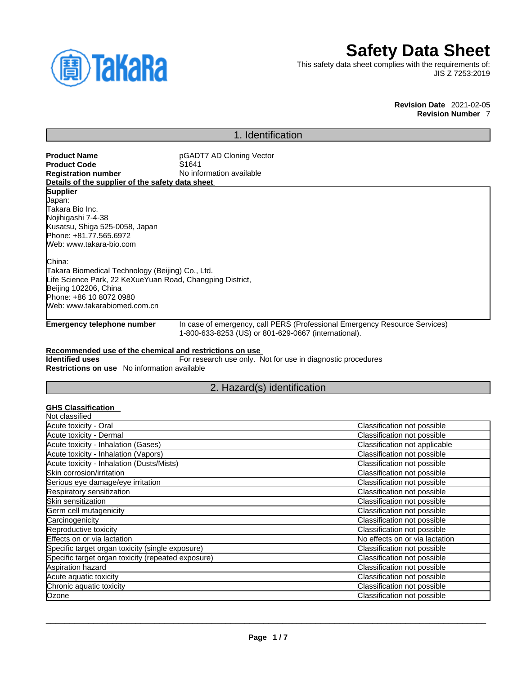

# **Safety Data Sheet**

This safety data sheet complies with the requirements of: JIS Z 7253:2019

> **Revision Date** 2021-02-05 **Revision Number** 7

# 1. Identification

**Product Name**<br> **Product Code**<br> **Product Code**<br> **Product Code**<br> **Product Code Product Code**<br>Registration number **No information available Details of the supplier of the safety data sheet Supplier** Japan: Takara Bio Inc. Nojihigashi 7-4-38 Kusatsu, Shiga 525-0058, Japan Phone: +81.77.565.6972 Web: www.takara-bio.com China: Takara Biomedical Technology (Beijing) Co., Ltd. Life Science Park, 22 KeXueYuan Road, Changping District, Beijing 102206, China Phone: +86 10 8072 0980 Web: www.takarabiomed.com.cn

**Emergency telephone number** In case of emergency, call PERS (Professional Emergency Resource Services) 1-800-633-8253 (US) or 801-629-0667 (international).

### **Recommended use of the chemical and restrictions on use**

**Identified uses** For research use only. Not for use in diagnostic procedures **Restrictions on use** No information available

# 2. Hazard(s) identification

## **GHS Classification**

| Classification not possible    |
|--------------------------------|
| Classification not possible    |
| Classification not applicable  |
| Classification not possible    |
| Classification not possible    |
| Classification not possible    |
| Classification not possible    |
| Classification not possible    |
| Classification not possible    |
| Classification not possible    |
| Classification not possible    |
| Classification not possible    |
| No effects on or via lactation |
| Classification not possible    |
| Classification not possible    |
| Classification not possible    |
| Classification not possible    |
| Classification not possible    |
| Classification not possible    |
|                                |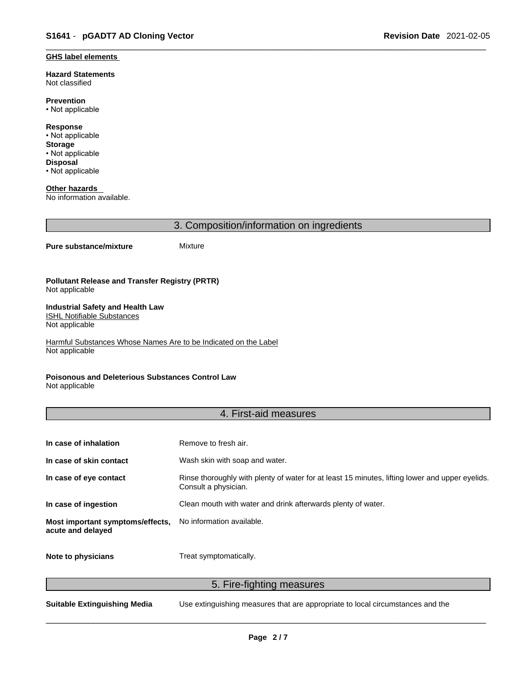#### **GHS label elements**

**Hazard Statements**  Not classified

**Prevention** • Not applicable

**Response** • Not applicable **Storage** • Not applicable **Disposal** • Not applicable

**Other hazards**  No information available.

3. Composition/information on ingredients

### **Pure substance/mixture** Mixture

#### **Pollutant Release and Transfer Registry (PRTR)** Not applicable

#### **Industrial Safety and Health Law**  ISHL Notifiable Substances

Not applicable

Harmful Substances Whose Names Are to be Indicated on the Label Not applicable

## **Poisonous and Deleterious Substances Control Law**

Not applicable

# 4. First-aid measures

| In case of inhalation                                 | Remove to fresh air.                                                                                                    |
|-------------------------------------------------------|-------------------------------------------------------------------------------------------------------------------------|
| In case of skin contact                               | Wash skin with soap and water.                                                                                          |
| In case of eye contact                                | Rinse thoroughly with plenty of water for at least 15 minutes, lifting lower and upper eyelids.<br>Consult a physician. |
| In case of ingestion                                  | Clean mouth with water and drink afterwards plenty of water.                                                            |
| Most important symptoms/effects,<br>acute and delayed | No information available.                                                                                               |
| Note to physicians                                    | Treat symptomatically.                                                                                                  |

5. Fire-fighting measures

**Suitable Extinguishing Media** Use extinguishing measures that are appropriate to local circumstances and the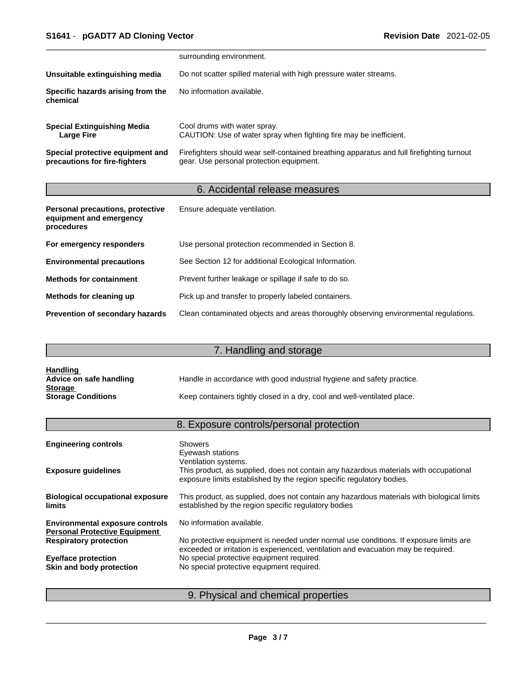|                                                                   | surrounding environment.                                                                                                              |
|-------------------------------------------------------------------|---------------------------------------------------------------------------------------------------------------------------------------|
| Unsuitable extinguishing media                                    | Do not scatter spilled material with high pressure water streams.                                                                     |
| Specific hazards arising from the<br>chemical                     | No information available.                                                                                                             |
| <b>Special Extinguishing Media</b><br>Large Fire                  | Cool drums with water spray.<br>CAUTION: Use of water spray when fighting fire may be inefficient.                                    |
| Special protective equipment and<br>precautions for fire-fighters | Firefighters should wear self-contained breathing apparatus and full firefighting turnout<br>gear. Use personal protection equipment. |

# 6. Accidental release measures

| Personal precautions, protective<br>equipment and emergency<br>procedures | Ensure adequate ventilation.                                                         |
|---------------------------------------------------------------------------|--------------------------------------------------------------------------------------|
| For emergency responders                                                  | Use personal protection recommended in Section 8.                                    |
| <b>Environmental precautions</b>                                          | See Section 12 for additional Ecological Information.                                |
| <b>Methods for containment</b>                                            | Prevent further leakage or spillage if safe to do so.                                |
| Methods for cleaning up                                                   | Pick up and transfer to properly labeled containers.                                 |
| <b>Prevention of secondary hazards</b>                                    | Clean contaminated objects and areas thoroughly observing environmental regulations. |

# 7. Handling and storage

| <b>Handling</b>           |                                                                          |
|---------------------------|--------------------------------------------------------------------------|
| Advice on safe handling   | Handle in accordance with good industrial hygiene and safety practice.   |
| <b>Storage</b>            |                                                                          |
| <b>Storage Conditions</b> | Keep containers tightly closed in a dry, cool and well-ventilated place. |

# 8. Exposure controls/personal protection

| <b>Engineering controls</b>                                                    | <b>Showers</b><br>Eyewash stations                                                                                                                                                     |
|--------------------------------------------------------------------------------|----------------------------------------------------------------------------------------------------------------------------------------------------------------------------------------|
| <b>Exposure guidelines</b>                                                     | Ventilation systems.<br>This product, as supplied, does not contain any hazardous materials with occupational<br>exposure limits established by the region specific regulatory bodies. |
| <b>Biological occupational exposure</b><br><b>limits</b>                       | This product, as supplied, does not contain any hazardous materials with biological limits<br>established by the region specific regulatory bodies                                     |
| <b>Environmental exposure controls</b><br><b>Personal Protective Equipment</b> | No information available.                                                                                                                                                              |
| <b>Respiratory protection</b>                                                  | No protective equipment is needed under normal use conditions. If exposure limits are<br>exceeded or irritation is experienced, ventilation and evacuation may be required.            |
| <b>Eye/face protection</b>                                                     | No special protective equipment required.                                                                                                                                              |
| Skin and body protection                                                       | No special protective equipment required.                                                                                                                                              |
|                                                                                |                                                                                                                                                                                        |

# 9. Physical and chemical properties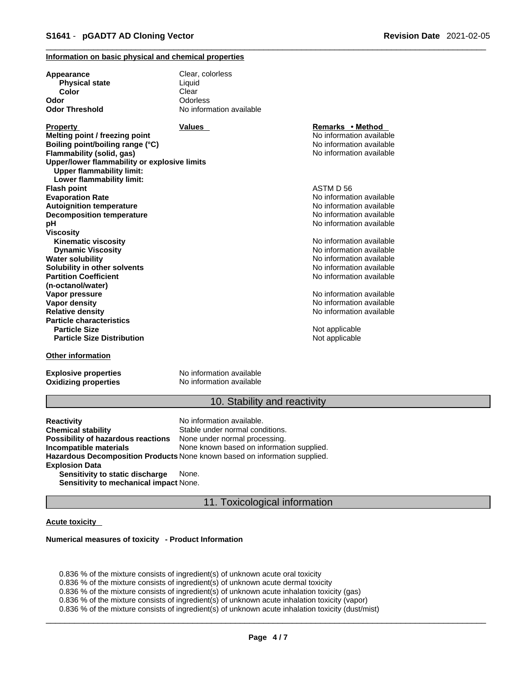### **Information on basic physical and chemical properties**

| Appearance                                                                       | Clear, colorless         |                          |  |
|----------------------------------------------------------------------------------|--------------------------|--------------------------|--|
| <b>Physical state</b>                                                            | Liquid                   |                          |  |
| Color                                                                            | Clear                    |                          |  |
| Odor                                                                             | Odorless                 |                          |  |
| <b>Odor Threshold</b>                                                            | No information available |                          |  |
| <b>Property</b>                                                                  | <b>Values</b>            | Remarks • Method         |  |
| Melting point / freezing point                                                   |                          | No information available |  |
| Boiling point/boiling range (°C)                                                 |                          | No information available |  |
| Flammability (solid, gas)                                                        |                          | No information available |  |
| Upper/lower flammability or explosive limits<br><b>Upper flammability limit:</b> |                          |                          |  |
| Lower flammability limit:                                                        |                          |                          |  |
| <b>Flash point</b>                                                               |                          | ASTM D 56                |  |
| <b>Evaporation Rate</b>                                                          |                          | No information available |  |
| <b>Autoignition temperature</b>                                                  |                          | No information available |  |
| <b>Decomposition temperature</b>                                                 |                          | No information available |  |
| pН                                                                               |                          | No information available |  |
| Viscosity                                                                        |                          |                          |  |
| <b>Kinematic viscosity</b>                                                       |                          | No information available |  |
| <b>Dynamic Viscosity</b>                                                         |                          | No information available |  |
| Water solubility                                                                 |                          | No information available |  |
| Solubility in other solvents                                                     |                          | No information available |  |
| <b>Partition Coefficient</b>                                                     |                          | No information available |  |
| (n-octanol/water)                                                                |                          |                          |  |
| Vapor pressure                                                                   |                          | No information available |  |
| <b>Vapor density</b>                                                             |                          | No information available |  |
| <b>Relative density</b>                                                          |                          | No information available |  |
| <b>Particle characteristics</b>                                                  |                          |                          |  |
| <b>Particle Size</b>                                                             |                          | Not applicable           |  |
| <b>Particle Size Distribution</b>                                                |                          | Not applicable           |  |
| Other information                                                                |                          |                          |  |

**Explosive properties**<br> **Oxidizing properties**<br>
No information available **Oxidizing properties** 

# 10. Stability and reactivity

**Reactivity Reactivity Reactivity Chemical stability No information available.**<br> **Chemical stability Reaction** Stable under normal cond Stable under normal conditions.<br>None under normal processing. **Possibility of hazardous reactions Incompatible materials** None known based on information supplied. **Hazardous Decomposition Products** None known based on information supplied. **Explosion Data Sensitivity to static discharge** None. **Sensitivity to mechanical impact** None.

11. Toxicological information

### **Acute toxicity**

#### **Numerical measures of toxicity - Product Information**

0.836 % of the mixture consists of ingredient(s) of unknown acute oral toxicity 0.836 % of the mixture consists of ingredient(s) of unknown acute dermal toxicity 0.836 % of the mixture consists of ingredient(s) of unknown acute inhalation toxicity (gas) 0.836 % of the mixture consists of ingredient(s) of unknown acute inhalation toxicity (vapor) 0.836 % of the mixture consists of ingredient(s) of unknown acute inhalation toxicity (dust/mist)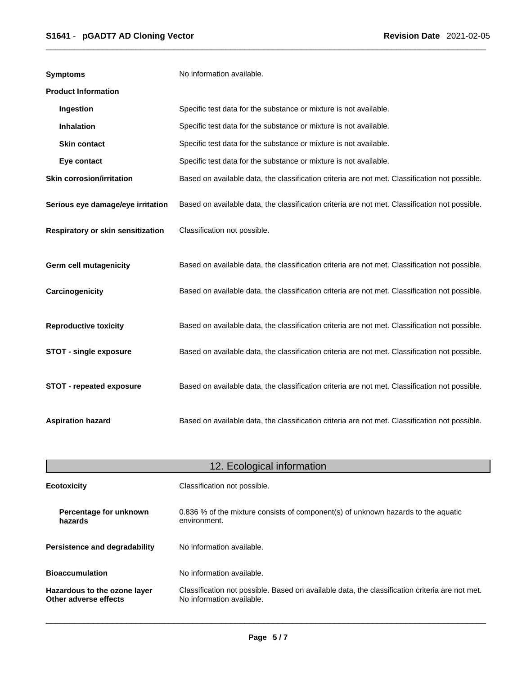| <b>Symptoms</b>                   | No information available.                                                                      |
|-----------------------------------|------------------------------------------------------------------------------------------------|
| <b>Product Information</b>        |                                                                                                |
| Ingestion                         | Specific test data for the substance or mixture is not available.                              |
| Inhalation                        | Specific test data for the substance or mixture is not available.                              |
| <b>Skin contact</b>               | Specific test data for the substance or mixture is not available.                              |
| Eye contact                       | Specific test data for the substance or mixture is not available.                              |
| <b>Skin corrosion/irritation</b>  | Based on available data, the classification criteria are not met. Classification not possible. |
| Serious eye damage/eye irritation | Based on available data, the classification criteria are not met. Classification not possible. |
| Respiratory or skin sensitization | Classification not possible.                                                                   |
| <b>Germ cell mutagenicity</b>     | Based on available data, the classification criteria are not met. Classification not possible. |
| Carcinogenicity                   | Based on available data, the classification criteria are not met. Classification not possible. |
| <b>Reproductive toxicity</b>      | Based on available data, the classification criteria are not met. Classification not possible. |
| <b>STOT - single exposure</b>     | Based on available data, the classification criteria are not met. Classification not possible. |
| <b>STOT - repeated exposure</b>   | Based on available data, the classification criteria are not met. Classification not possible. |
| <b>Aspiration hazard</b>          | Based on available data, the classification criteria are not met. Classification not possible. |

| 12. Ecological information                            |                                                                                                                             |  |
|-------------------------------------------------------|-----------------------------------------------------------------------------------------------------------------------------|--|
| <b>Ecotoxicity</b>                                    | Classification not possible.                                                                                                |  |
| Percentage for unknown<br>hazards                     | 0.836 % of the mixture consists of component(s) of unknown hazards to the aquatic<br>environment.                           |  |
| Persistence and degradability                         | No information available.                                                                                                   |  |
| <b>Bioaccumulation</b>                                | No information available.                                                                                                   |  |
| Hazardous to the ozone layer<br>Other adverse effects | Classification not possible. Based on available data, the classification criteria are not met.<br>No information available. |  |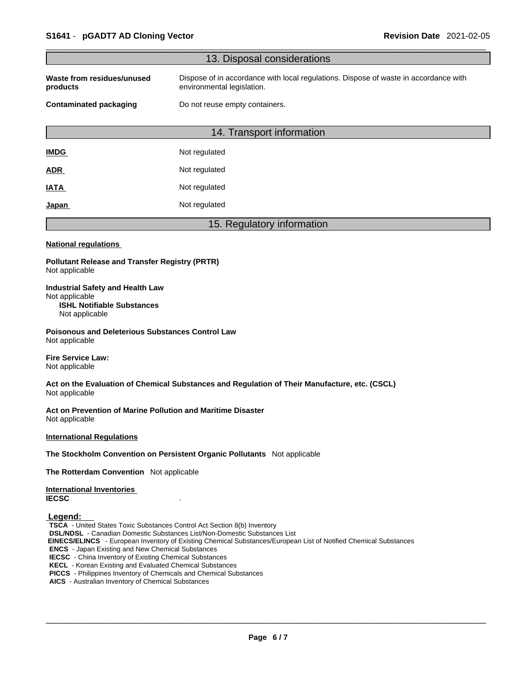|                                                                                                                                                                                                                                                                                                                                                                                                                                                                                                             | 13. Disposal considerations                                                                                        |
|-------------------------------------------------------------------------------------------------------------------------------------------------------------------------------------------------------------------------------------------------------------------------------------------------------------------------------------------------------------------------------------------------------------------------------------------------------------------------------------------------------------|--------------------------------------------------------------------------------------------------------------------|
| Waste from residues/unused<br>products                                                                                                                                                                                                                                                                                                                                                                                                                                                                      | Dispose of in accordance with local regulations. Dispose of waste in accordance with<br>environmental legislation. |
| <b>Contaminated packaging</b>                                                                                                                                                                                                                                                                                                                                                                                                                                                                               | Do not reuse empty containers.                                                                                     |
|                                                                                                                                                                                                                                                                                                                                                                                                                                                                                                             | 14. Transport information                                                                                          |
| <b>IMDG</b>                                                                                                                                                                                                                                                                                                                                                                                                                                                                                                 | Not regulated                                                                                                      |
| <u>ADR</u>                                                                                                                                                                                                                                                                                                                                                                                                                                                                                                  | Not regulated                                                                                                      |
| <b>IATA</b>                                                                                                                                                                                                                                                                                                                                                                                                                                                                                                 | Not regulated                                                                                                      |
| <u>Japan</u>                                                                                                                                                                                                                                                                                                                                                                                                                                                                                                | Not regulated                                                                                                      |
|                                                                                                                                                                                                                                                                                                                                                                                                                                                                                                             | 15. Regulatory information                                                                                         |
| <b>National regulations</b>                                                                                                                                                                                                                                                                                                                                                                                                                                                                                 |                                                                                                                    |
| <b>Pollutant Release and Transfer Registry (PRTR)</b><br>Not applicable                                                                                                                                                                                                                                                                                                                                                                                                                                     |                                                                                                                    |
| <b>Industrial Safety and Health Law</b><br>Not applicable<br><b>ISHL Notifiable Substances</b><br>Not applicable                                                                                                                                                                                                                                                                                                                                                                                            |                                                                                                                    |
| <b>Poisonous and Deleterious Substances Control Law</b><br>Not applicable                                                                                                                                                                                                                                                                                                                                                                                                                                   |                                                                                                                    |
| <b>Fire Service Law:</b><br>Not applicable                                                                                                                                                                                                                                                                                                                                                                                                                                                                  |                                                                                                                    |
| Not applicable                                                                                                                                                                                                                                                                                                                                                                                                                                                                                              | Act on the Evaluation of Chemical Substances and Regulation of Their Manufacture, etc. (CSCL)                      |
| Act on Prevention of Marine Pollution and Maritime Disaster<br>Not applicable                                                                                                                                                                                                                                                                                                                                                                                                                               |                                                                                                                    |
| <b>International Regulations</b>                                                                                                                                                                                                                                                                                                                                                                                                                                                                            |                                                                                                                    |
|                                                                                                                                                                                                                                                                                                                                                                                                                                                                                                             | The Stockholm Convention on Persistent Organic Pollutants Not applicable                                           |
| The Rotterdam Convention Not applicable                                                                                                                                                                                                                                                                                                                                                                                                                                                                     |                                                                                                                    |
| <b>International Inventories</b><br><b>IECSC</b>                                                                                                                                                                                                                                                                                                                                                                                                                                                            |                                                                                                                    |
| Legend:<br><b>TSCA</b> - United States Toxic Substances Control Act Section 8(b) Inventory<br><b>DSL/NDSL</b> - Canadian Domestic Substances List/Non-Domestic Substances List<br><b>ENCS</b> - Japan Existing and New Chemical Substances<br><b>IECSC</b> - China Inventory of Existing Chemical Substances<br><b>KECL</b> - Korean Existing and Evaluated Chemical Substances<br>PICCS - Philippines Inventory of Chemicals and Chemical Substances<br>AICS - Australian Inventory of Chemical Substances | EINECS/ELINCS - European Inventory of Existing Chemical Substances/European List of Notified Chemical Substances   |